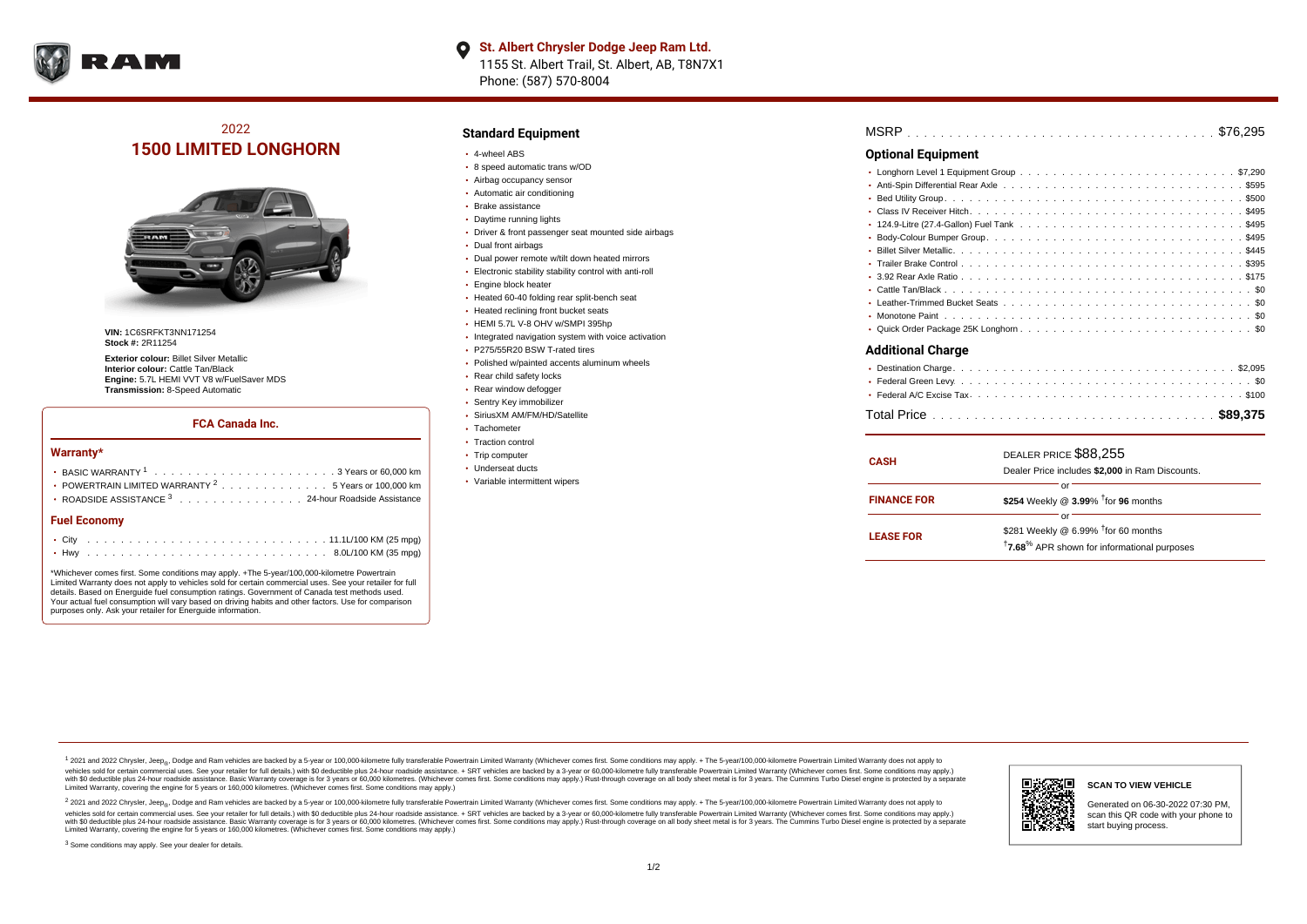

# 2022 **1500 LIMITED LONGHORN**



**VIN:** 1C6SRFKT3NN171254 **Stock #:** 2R11254

**Exterior colour:** Billet Silver Metallic **Interior colour:** Cattle Tan/Black **Engine:** 5.7L HEMI VVT V8 w/FuelSaver MDS **Transmission:** 8-Speed Automatic

### **FCA Canada Inc.**

#### **Warranty\***

| Fuel Fconomy                                                     |
|------------------------------------------------------------------|
| • ROADSIDE ASSISTANCE 3 24-hour Roadside Assistance              |
| • POWERTRAIN LIMITED WARRANTY <sup>2</sup> 5 Years or 100,000 km |
|                                                                  |
|                                                                  |

#### **Fuel Economy**

\*Whichever comes first. Some conditions may apply. +The 5-year/100,000-kilometre Powertrain Limited Warranty does not apply to vehicles sold for certain commercial uses. See your retailer for full details. Based on Energuide fuel consumption ratings. Government of Canada test methods used. Your actual fuel consumption will vary based on driving habits and other factors. Use for comparison purposes only. Ask your retailer for Energuide information.

### **Standard Equipment**

- 4-wheel ABS
- 8 speed automatic trans w/OD
- Airbag occupancy sensor
- Automatic air conditioning
- Brake assistance Daytime running lights
- 
- Driver & front passenger seat mounted side airbags
- Dual front airbags
- Dual power remote w/tilt down heated mirrors
- Electronic stability stability control with anti-roll
- **Engine block heater**
- Heated 60-40 folding rear split-bench seat
- Heated reclining front bucket seats
- HEMI 5.7L V-8 OHV w/SMPI 395hp
- Integrated navigation system with voice activation
- P275/55R20 BSW T-rated tires
- Polished w/painted accents aluminum wheels
- Rear child safety locks
- Rear window defogger
- Sentry Key immobilizer
- SiriusXM AM/FM/HD/Satellite
- Tachometer
- Traction control
- Trip computer
- Underseat ducts
- Variable intermittent wipers

| <b>Optional Equipment</b> |  |
|---------------------------|--|
|                           |  |

### **Additional Charge**

| <b>CASH</b>        | DEALER PRICE \$88,255<br>Dealer Price includes \$2,000 in Ram Discounts.                                                     |
|--------------------|------------------------------------------------------------------------------------------------------------------------------|
| <b>FINANCE FOR</b> | or<br>\$254 Weekly @ 3.99% <sup>t</sup> for 96 months                                                                        |
| <b>LEASE FOR</b>   | or<br>\$281 Weekly @ 6.99% <sup>†</sup> for 60 months<br><sup>†</sup> 7.68 <sup>%</sup> APR shown for informational purposes |

1 2021 and 2022 Chrysler, Jeep<sub>er</sub>, Dodge and Ram vehicles are backed by a 5-year or 100,000-kilometre fully transferable Powertrain Limited Warranty (Whichever comes first. Some conditions may apply. + The 5-year/100,000vehicles sold for certain commercial uses. See your retailer for full details.) with \$0 deductible plus 24-hour roadside assistance. + SRT vehicles are backed by a 3-year or 60,000-kilometre fully transferable Powertrain L versus and contract the mean of the contract of the contract with a contract with a contract the contract of the search of the contract and a control of the contract and contract and control of the search of the search of Limited Warranty, covering the engine for 5 years or 160,000 kilometres. (Whichever comes first. Some conditions may apply.)

<sup>2</sup> 2021 and 2022 Chrysler, Jeep<sub>®</sub>, Dodge and Ram vehicles are backed by a 5-year or 100,000-kilometre fully transferable Powertrain Limited Warranty (Whichever comes first. Some conditions may apply. + The 5-year/100,000 vehicles sold for certain commercial uses. See your retailer for full details.) with SO deductible plus 24-hour roadside assistance. + SRT vehicles are backed by a 3-year or 60.000-kilometre fully transferable Powertrain L with S0 deductible plus 24-hour roadside assistance. Basic Warranty coverage is for 3 years or 60,000 kilometres. (Whichever comes first. Some conditions may apply.) Rust-through coverage on all body sheet metal is for 3 y



#### **SCAN TO VIEW VEHICLE**

Generated on 06-30-2022 07:30 PM, scan this QR code with your phone to start buying process.

<sup>3</sup> Some conditions may apply. See your dealer for details.